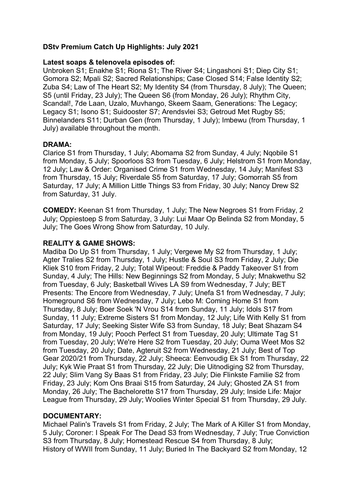# **DStv Premium Catch Up Highlights: July 2021**

## **Latest soaps & telenovela episodes of:**

Unbroken S1; Enakhe S1; Riona S1; The River S4; Lingashoni S1; Diep City S1; Gomora S2; Mpali S2; Sacred Relationships; Case Closed S14; False Identity S2; Zuba S4; Law of The Heart S2; My Identity S4 (from Thursday, 8 July); The Queen; S5 (until Friday, 23 July); The Queen S6 (from Monday, 26 July); Rhythm City, Scandal!, 7de Laan, Uzalo, Muvhango, Skeem Saam, Generations: The Legacy; Legacy S1; Isono S1; Suidooster S7; Arendsvlei S3; Getroud Met Rugby S5; Binnelanders S11; Durban Gen (from Thursday, 1 July); Imbewu (from Thursday, 1 July) available throughout the month.

#### **DRAMA:**

Clarice S1 from Thursday, 1 July; Abomama S2 from Sunday, 4 July; Nqobile S1 from Monday, 5 July; Spoorloos S3 from Tuesday, 6 July; Helstrom S1 from Monday, 12 July; Law & Order: Organised Crime S1 from Wednesday, 14 July; Manifest S3 from Thursday, 15 July; Riverdale S5 from Saturday, 17 July; Gomorrah S5 from Saturday, 17 July; A Million Little Things S3 from Friday, 30 July; Nancy Drew S2 from Saturday, 31 July.

**COMEDY:** Keenan S1 from Thursday, 1 July; The New Negroes S1 from Friday, 2 July; Oppiestoep S from Saturday, 3 July: Lui Maar Op Belinda S2 from Monday, 5 July; The Goes Wrong Show from Saturday, 10 July.

#### **REALITY & GAME SHOWS:**

Madiba Do Up S1 from Thursday, 1 July; Vergewe My S2 from Thursday, 1 July; Agter Tralies S2 from Thursday, 1 July; Hustle & Soul S3 from Friday, 2 July; Die Kliek S10 from Friday, 2 July; Total Wipeout: Freddie & Paddy Takeover S1 from Sunday, 4 July; The Hills: New Beginnings S2 from Monday, 5 July; Mnakwethu S2 from Tuesday, 6 July; Basketball Wives LA S9 from Wednesday, 7 July; BET Presents: The Encore from Wednesday, 7 July; Unefa S1 from Wednesday, 7 July; Homeground S6 from Wednesday, 7 July; Lebo M: Coming Home S1 from Thursday, 8 July; Boer Soek 'N Vrou S14 from Sunday, 11 July; Idols S17 from Sunday, 11 July; Extreme Sisters S1 from Monday, 12 July; Life With Kelly S1 from Saturday, 17 July; Seeking Sister Wife S3 from Sunday, 18 July; Beat Shazam S4 from Monday, 19 July; Pooch Perfect S1 from Tuesday, 20 July; Ultimate Tag S1 from Tuesday, 20 July; We're Here S2 from Tuesday, 20 July; Ouma Weet Mos S2 from Tuesday, 20 July; Date, Agteruit S2 from Wednesday, 21 July; Best of Top Gear 2020/21 from Thursday, 22 July; Sheeca: Eenvoudig Ek S1 from Thursday, 22 July; Kyk Wie Praat S1 from Thursday, 22 July; Die Uitnodiging S2 from Thursday, 22 July; Slim Vang Sy Baas S1 from Friday, 23 July; Die Flinkste Familie S2 from Friday, 23 July; Kom Ons Braai S15 from Saturday, 24 July; Ghosted ZA S1 from Monday, 26 July; The Bachelorette S17 from Thursday, 29 July; Inside Life: Major League from Thursday, 29 July; Woolies Winter Special S1 from Thursday, 29 July.

## **DOCUMENTARY:**

Michael Palin's Travels S1 from Friday, 2 July; The Mark of A Killer S1 from Monday, 5 July; Coroner: I Speak For The Dead S3 from Wednesday, 7 July; True Conviction S3 from Thursday, 8 July; Homestead Rescue S4 from Thursday, 8 July; History of WWII from Sunday, 11 July; Buried In The Backyard S2 from Monday, 12